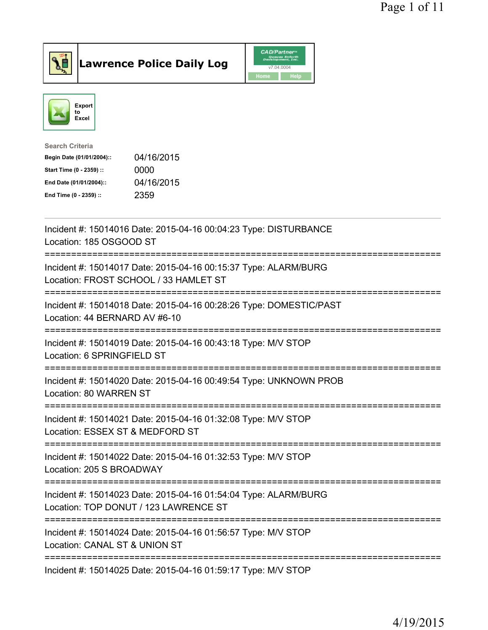

Lawrence Police Daily Log CAD/Partner



| <b>Search Criteria</b>    |            |
|---------------------------|------------|
| Begin Date (01/01/2004):: | 04/16/2015 |
| Start Time (0 - 2359) ::  | 0000       |
| End Date (01/01/2004)::   | 04/16/2015 |
| End Time (0 - 2359) ::    | 2359       |
|                           |            |

| Incident #: 15014016 Date: 2015-04-16 00:04:23 Type: DISTURBANCE<br>Location: 185 OSGOOD ST                                             |
|-----------------------------------------------------------------------------------------------------------------------------------------|
| Incident #: 15014017 Date: 2015-04-16 00:15:37 Type: ALARM/BURG<br>Location: FROST SCHOOL / 33 HAMLET ST<br>---------------------       |
| Incident #: 15014018 Date: 2015-04-16 00:28:26 Type: DOMESTIC/PAST<br>Location: 44 BERNARD AV #6-10                                     |
| Incident #: 15014019 Date: 2015-04-16 00:43:18 Type: M/V STOP<br>Location: 6 SPRINGFIELD ST                                             |
| Incident #: 15014020 Date: 2015-04-16 00:49:54 Type: UNKNOWN PROB<br>Location: 80 WARREN ST<br>-----------------------------------      |
| Incident #: 15014021 Date: 2015-04-16 01:32:08 Type: M/V STOP<br>Location: ESSEX ST & MEDFORD ST                                        |
| =========================<br>:============<br>Incident #: 15014022 Date: 2015-04-16 01:32:53 Type: M/V STOP<br>Location: 205 S BROADWAY |
| Incident #: 15014023 Date: 2015-04-16 01:54:04 Type: ALARM/BURG<br>Location: TOP DONUT / 123 LAWRENCE ST                                |
| ===============================<br>Incident #: 15014024 Date: 2015-04-16 01:56:57 Type: M/V STOP<br>Location: CANAL ST & UNION ST       |
| Incident #: 15014025 Date: 2015-04-16 01:59:17 Type: M/V STOP                                                                           |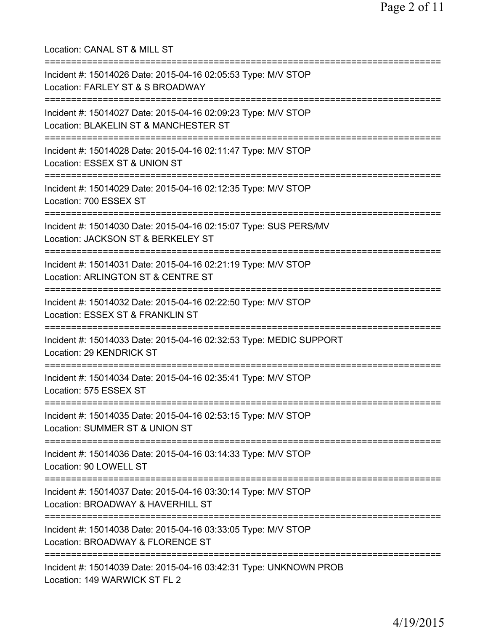Location: CANAL ST & MILL ST =========================================================================== Incident #: 15014026 Date: 2015-04-16 02:05:53 Type: M/V STOP Location: FARLEY ST & S BROADWAY =========================================================================== Incident #: 15014027 Date: 2015-04-16 02:09:23 Type: M/V STOP Location: BLAKELIN ST & MANCHESTER ST =========================================================================== Incident #: 15014028 Date: 2015-04-16 02:11:47 Type: M/V STOP Location: ESSEX ST & UNION ST =========================================================================== Incident #: 15014029 Date: 2015-04-16 02:12:35 Type: M/V STOP Location: 700 ESSEX ST =========================================================================== Incident #: 15014030 Date: 2015-04-16 02:15:07 Type: SUS PERS/MV Location: JACKSON ST & BERKELEY ST =========================================================================== Incident #: 15014031 Date: 2015-04-16 02:21:19 Type: M/V STOP Location: ARLINGTON ST & CENTRE ST =========================================================================== Incident #: 15014032 Date: 2015-04-16 02:22:50 Type: M/V STOP Location: ESSEX ST & FRANKLIN ST =========================================================================== Incident #: 15014033 Date: 2015-04-16 02:32:53 Type: MEDIC SUPPORT Location: 29 KENDRICK ST =========================================================================== Incident #: 15014034 Date: 2015-04-16 02:35:41 Type: M/V STOP Location: 575 ESSEX ST =========================================================================== Incident #: 15014035 Date: 2015-04-16 02:53:15 Type: M/V STOP Location: SUMMER ST & UNION ST =========================================================================== Incident #: 15014036 Date: 2015-04-16 03:14:33 Type: M/V STOP Location: 90 LOWELL ST =========================================================================== Incident #: 15014037 Date: 2015-04-16 03:30:14 Type: M/V STOP Location: BROADWAY & HAVERHILL ST =========================================================================== Incident #: 15014038 Date: 2015-04-16 03:33:05 Type: M/V STOP Location: BROADWAY & FLORENCE ST =========================================================================== Incident #: 15014039 Date: 2015-04-16 03:42:31 Type: UNKNOWN PROB Location: 149 WARWICK ST FL 2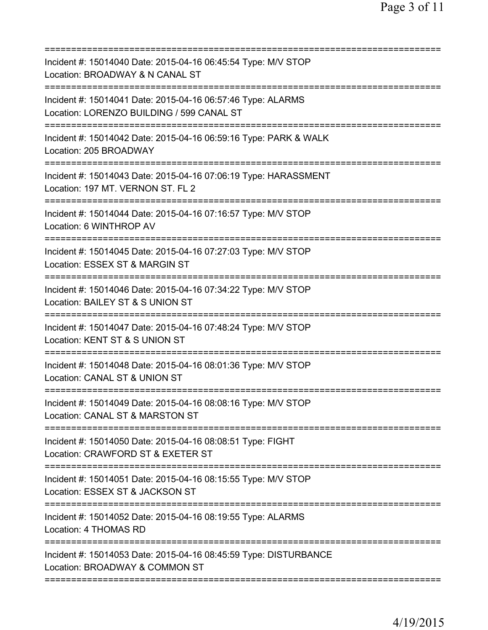| Incident #: 15014040 Date: 2015-04-16 06:45:54 Type: M/V STOP<br>Location: BROADWAY & N CANAL ST                                   |
|------------------------------------------------------------------------------------------------------------------------------------|
| Incident #: 15014041 Date: 2015-04-16 06:57:46 Type: ALARMS<br>Location: LORENZO BUILDING / 599 CANAL ST                           |
| Incident #: 15014042 Date: 2015-04-16 06:59:16 Type: PARK & WALK<br>Location: 205 BROADWAY                                         |
| Incident #: 15014043 Date: 2015-04-16 07:06:19 Type: HARASSMENT<br>Location: 197 MT. VERNON ST. FL 2                               |
| Incident #: 15014044 Date: 2015-04-16 07:16:57 Type: M/V STOP<br>Location: 6 WINTHROP AV                                           |
| Incident #: 15014045 Date: 2015-04-16 07:27:03 Type: M/V STOP<br>Location: ESSEX ST & MARGIN ST                                    |
| Incident #: 15014046 Date: 2015-04-16 07:34:22 Type: M/V STOP<br>Location: BAILEY ST & S UNION ST                                  |
| Incident #: 15014047 Date: 2015-04-16 07:48:24 Type: M/V STOP<br>Location: KENT ST & S UNION ST                                    |
| Incident #: 15014048 Date: 2015-04-16 08:01:36 Type: M/V STOP<br>Location: CANAL ST & UNION ST                                     |
| Incident #: 15014049 Date: 2015-04-16 08:08:16 Type: M/V STOP<br>Location: CANAL ST & MARSTON ST                                   |
| Incident #: 15014050 Date: 2015-04-16 08:08:51 Type: FIGHT<br>Location: CRAWFORD ST & EXETER ST<br>=============================== |
| Incident #: 15014051 Date: 2015-04-16 08:15:55 Type: M/V STOP<br>Location: ESSEX ST & JACKSON ST                                   |
| Incident #: 15014052 Date: 2015-04-16 08:19:55 Type: ALARMS<br>Location: 4 THOMAS RD                                               |
| Incident #: 15014053 Date: 2015-04-16 08:45:59 Type: DISTURBANCE<br>Location: BROADWAY & COMMON ST                                 |
|                                                                                                                                    |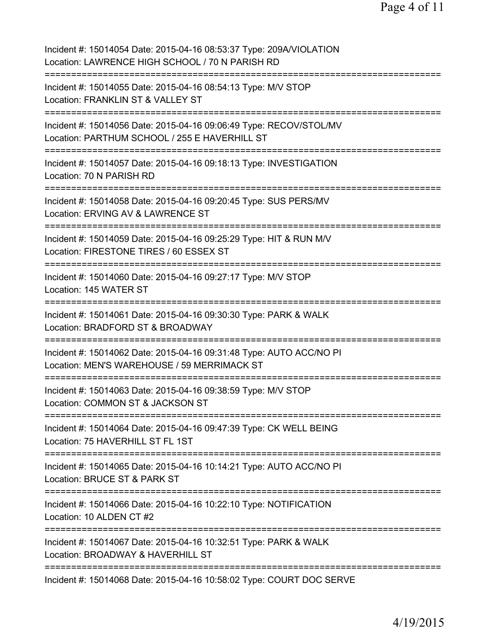| Incident #: 15014054 Date: 2015-04-16 08:53:37 Type: 209A/VIOLATION<br>Location: LAWRENCE HIGH SCHOOL / 70 N PARISH RD            |
|-----------------------------------------------------------------------------------------------------------------------------------|
| Incident #: 15014055 Date: 2015-04-16 08:54:13 Type: M/V STOP<br>Location: FRANKLIN ST & VALLEY ST                                |
| Incident #: 15014056 Date: 2015-04-16 09:06:49 Type: RECOV/STOL/MV<br>Location: PARTHUM SCHOOL / 255 E HAVERHILL ST               |
| Incident #: 15014057 Date: 2015-04-16 09:18:13 Type: INVESTIGATION<br>Location: 70 N PARISH RD                                    |
| Incident #: 15014058 Date: 2015-04-16 09:20:45 Type: SUS PERS/MV<br>Location: ERVING AV & LAWRENCE ST                             |
| Incident #: 15014059 Date: 2015-04-16 09:25:29 Type: HIT & RUN M/V<br>Location: FIRESTONE TIRES / 60 ESSEX ST                     |
| Incident #: 15014060 Date: 2015-04-16 09:27:17 Type: M/V STOP<br>Location: 145 WATER ST<br>===============================        |
| Incident #: 15014061 Date: 2015-04-16 09:30:30 Type: PARK & WALK<br>Location: BRADFORD ST & BROADWAY                              |
| ===========<br>Incident #: 15014062 Date: 2015-04-16 09:31:48 Type: AUTO ACC/NO PI<br>Location: MEN'S WAREHOUSE / 59 MERRIMACK ST |
| Incident #: 15014063 Date: 2015-04-16 09:38:59 Type: M/V STOP<br>Location: COMMON ST & JACKSON ST                                 |
| Incident #: 15014064 Date: 2015-04-16 09:47:39 Type: CK WELL BEING<br>Location: 75 HAVERHILL ST FL 1ST                            |
| Incident #: 15014065 Date: 2015-04-16 10:14:21 Type: AUTO ACC/NO PI<br>Location: BRUCE ST & PARK ST                               |
| Incident #: 15014066 Date: 2015-04-16 10:22:10 Type: NOTIFICATION<br>Location: 10 ALDEN CT #2                                     |
| Incident #: 15014067 Date: 2015-04-16 10:32:51 Type: PARK & WALK<br>Location: BROADWAY & HAVERHILL ST                             |
| Incident #: 15014068 Date: 2015-04-16 10:58:02 Type: COURT DOC SERVE                                                              |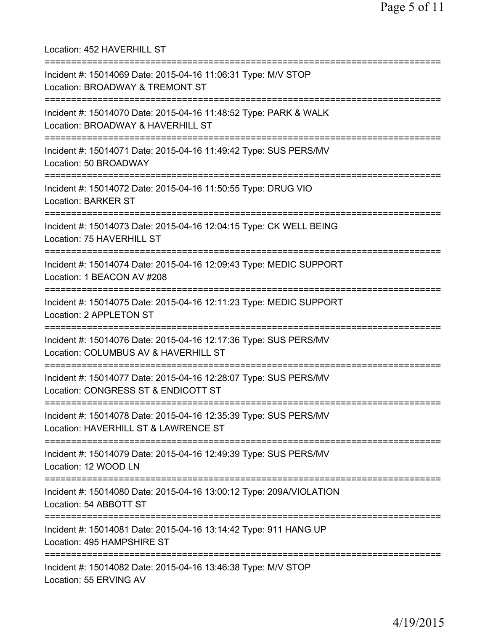Location: 452 HAVERHILL ST =========================================================================== Incident #: 15014069 Date: 2015-04-16 11:06:31 Type: M/V STOP Location: BROADWAY & TREMONT ST =========================================================================== Incident #: 15014070 Date: 2015-04-16 11:48:52 Type: PARK & WALK Location: BROADWAY & HAVERHILL ST =========================================================================== Incident #: 15014071 Date: 2015-04-16 11:49:42 Type: SUS PERS/MV Location: 50 BROADWAY =========================================================================== Incident #: 15014072 Date: 2015-04-16 11:50:55 Type: DRUG VIO Location: BARKER ST =========================================================================== Incident #: 15014073 Date: 2015-04-16 12:04:15 Type: CK WELL BEING Location: 75 HAVERHILL ST =========================================================================== Incident #: 15014074 Date: 2015-04-16 12:09:43 Type: MEDIC SUPPORT Location: 1 BEACON AV #208 =========================================================================== Incident #: 15014075 Date: 2015-04-16 12:11:23 Type: MEDIC SUPPORT Location: 2 APPLETON ST =========================================================================== Incident #: 15014076 Date: 2015-04-16 12:17:36 Type: SUS PERS/MV Location: COLUMBUS AV & HAVERHILL ST =========================================================================== Incident #: 15014077 Date: 2015-04-16 12:28:07 Type: SUS PERS/MV Location: CONGRESS ST & ENDICOTT ST =========================================================================== Incident #: 15014078 Date: 2015-04-16 12:35:39 Type: SUS PERS/MV Location: HAVERHILL ST & LAWRENCE ST =========================================================================== Incident #: 15014079 Date: 2015-04-16 12:49:39 Type: SUS PERS/MV Location: 12 WOOD LN =========================================================================== Incident #: 15014080 Date: 2015-04-16 13:00:12 Type: 209A/VIOLATION Location: 54 ABBOTT ST =========================================================================== Incident #: 15014081 Date: 2015-04-16 13:14:42 Type: 911 HANG UP Location: 495 HAMPSHIRE ST =========================================================================== Incident #: 15014082 Date: 2015-04-16 13:46:38 Type: M/V STOP Location: 55 ERVING AV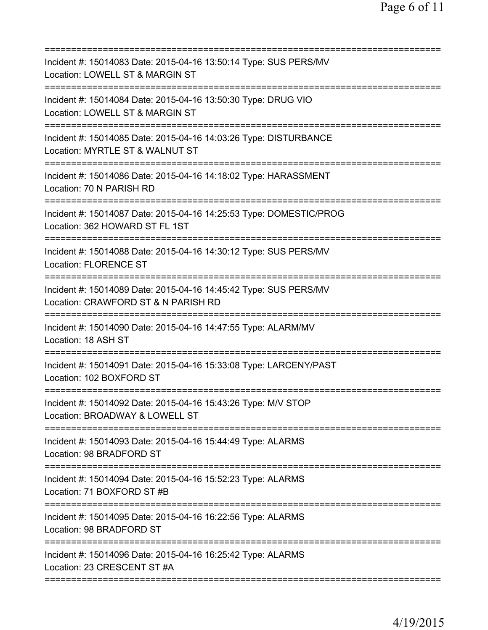| Incident #: 15014083 Date: 2015-04-16 13:50:14 Type: SUS PERS/MV<br>Location: LOWELL ST & MARGIN ST     |
|---------------------------------------------------------------------------------------------------------|
| Incident #: 15014084 Date: 2015-04-16 13:50:30 Type: DRUG VIO<br>Location: LOWELL ST & MARGIN ST        |
| Incident #: 15014085 Date: 2015-04-16 14:03:26 Type: DISTURBANCE<br>Location: MYRTLE ST & WALNUT ST     |
| Incident #: 15014086 Date: 2015-04-16 14:18:02 Type: HARASSMENT<br>Location: 70 N PARISH RD             |
| Incident #: 15014087 Date: 2015-04-16 14:25:53 Type: DOMESTIC/PROG<br>Location: 362 HOWARD ST FL 1ST    |
| Incident #: 15014088 Date: 2015-04-16 14:30:12 Type: SUS PERS/MV<br><b>Location: FLORENCE ST</b>        |
| Incident #: 15014089 Date: 2015-04-16 14:45:42 Type: SUS PERS/MV<br>Location: CRAWFORD ST & N PARISH RD |
| Incident #: 15014090 Date: 2015-04-16 14:47:55 Type: ALARM/MV<br>Location: 18 ASH ST                    |
| Incident #: 15014091 Date: 2015-04-16 15:33:08 Type: LARCENY/PAST<br>Location: 102 BOXFORD ST           |
| Incident #: 15014092 Date: 2015-04-16 15:43:26 Type: M/V STOP<br>Location: BROADWAY & LOWELL ST         |
| Incident #: 15014093 Date: 2015-04-16 15:44:49 Type: ALARMS<br>Location: 98 BRADFORD ST                 |
| Incident #: 15014094 Date: 2015-04-16 15:52:23 Type: ALARMS<br>Location: 71 BOXFORD ST #B               |
| Incident #: 15014095 Date: 2015-04-16 16:22:56 Type: ALARMS<br>Location: 98 BRADFORD ST                 |
| Incident #: 15014096 Date: 2015-04-16 16:25:42 Type: ALARMS<br>Location: 23 CRESCENT ST #A              |
|                                                                                                         |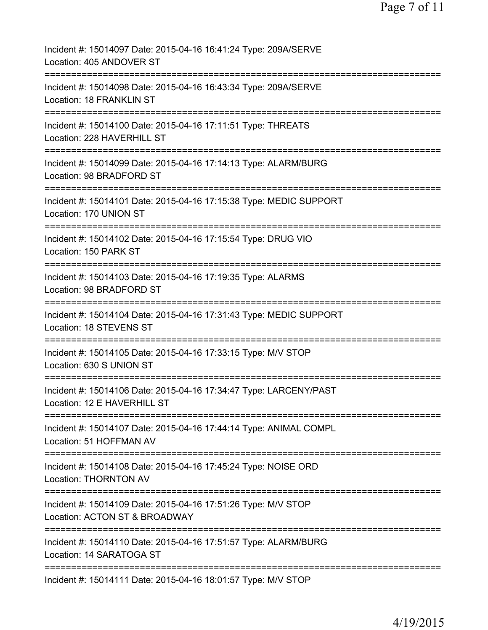| Incident #: 15014097 Date: 2015-04-16 16:41:24 Type: 209A/SERVE<br>Location: 405 ANDOVER ST                                     |
|---------------------------------------------------------------------------------------------------------------------------------|
| Incident #: 15014098 Date: 2015-04-16 16:43:34 Type: 209A/SERVE<br>Location: 18 FRANKLIN ST                                     |
| Incident #: 15014100 Date: 2015-04-16 17:11:51 Type: THREATS<br>Location: 228 HAVERHILL ST                                      |
| Incident #: 15014099 Date: 2015-04-16 17:14:13 Type: ALARM/BURG<br>Location: 98 BRADFORD ST                                     |
| Incident #: 15014101 Date: 2015-04-16 17:15:38 Type: MEDIC SUPPORT<br>Location: 170 UNION ST                                    |
| =====================================<br>Incident #: 15014102 Date: 2015-04-16 17:15:54 Type: DRUG VIO<br>Location: 150 PARK ST |
| Incident #: 15014103 Date: 2015-04-16 17:19:35 Type: ALARMS<br>Location: 98 BRADFORD ST                                         |
| Incident #: 15014104 Date: 2015-04-16 17:31:43 Type: MEDIC SUPPORT<br>Location: 18 STEVENS ST                                   |
| Incident #: 15014105 Date: 2015-04-16 17:33:15 Type: M/V STOP<br>Location: 630 S UNION ST                                       |
| Incident #: 15014106 Date: 2015-04-16 17:34:47 Type: LARCENY/PAST<br>Location: 12 E HAVERHILL ST                                |
| Incident #: 15014107 Date: 2015-04-16 17:44:14 Type: ANIMAL COMPL<br>Location: 51 HOFFMAN AV                                    |
| Incident #: 15014108 Date: 2015-04-16 17:45:24 Type: NOISE ORD<br><b>Location: THORNTON AV</b>                                  |
| Incident #: 15014109 Date: 2015-04-16 17:51:26 Type: M/V STOP<br>Location: ACTON ST & BROADWAY                                  |
| Incident #: 15014110 Date: 2015-04-16 17:51:57 Type: ALARM/BURG<br>Location: 14 SARATOGA ST                                     |
| Incident #: 15014111 Date: 2015-04-16 18:01:57 Type: M/V STOP                                                                   |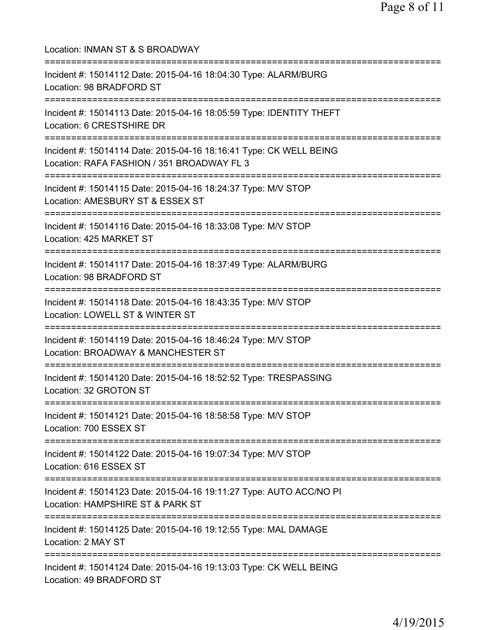Location: INMAN ST & S BROADWAY =========================================================================== Incident #: 15014112 Date: 2015-04-16 18:04:30 Type: ALARM/BURG Location: 98 BRADFORD ST =========================================================================== Incident #: 15014113 Date: 2015-04-16 18:05:59 Type: IDENTITY THEFT Location: 6 CRESTSHIRE DR =========================================================================== Incident #: 15014114 Date: 2015-04-16 18:16:41 Type: CK WELL BEING Location: RAFA FASHION / 351 BROADWAY FL 3 =========================================================================== Incident #: 15014115 Date: 2015-04-16 18:24:37 Type: M/V STOP Location: AMESBURY ST & ESSEX ST =========================================================================== Incident #: 15014116 Date: 2015-04-16 18:33:08 Type: M/V STOP Location: 425 MARKET ST =========================================================================== Incident #: 15014117 Date: 2015-04-16 18:37:49 Type: ALARM/BURG Location: 98 BRADFORD ST =========================================================================== Incident #: 15014118 Date: 2015-04-16 18:43:35 Type: M/V STOP Location: LOWELL ST & WINTER ST =========================================================================== Incident #: 15014119 Date: 2015-04-16 18:46:24 Type: M/V STOP Location: BROADWAY & MANCHESTER ST =========================================================================== Incident #: 15014120 Date: 2015-04-16 18:52:52 Type: TRESPASSING Location: 32 GROTON ST =========================================================================== Incident #: 15014121 Date: 2015-04-16 18:58:58 Type: M/V STOP Location: 700 ESSEX ST =========================================================================== Incident #: 15014122 Date: 2015-04-16 19:07:34 Type: M/V STOP Location: 616 ESSEX ST =========================================================================== Incident #: 15014123 Date: 2015-04-16 19:11:27 Type: AUTO ACC/NO PI Location: HAMPSHIRE ST & PARK ST =========================================================================== Incident #: 15014125 Date: 2015-04-16 19:12:55 Type: MAL DAMAGE Location: 2 MAY ST =========================================================================== Incident #: 15014124 Date: 2015-04-16 19:13:03 Type: CK WELL BEING Location: 49 BRADFORD ST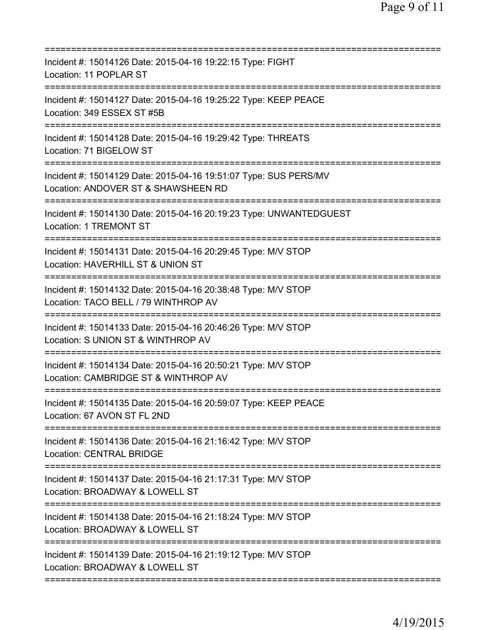| Incident #: 15014126 Date: 2015-04-16 19:22:15 Type: FIGHT<br>Location: 11 POPLAR ST                                                   |
|----------------------------------------------------------------------------------------------------------------------------------------|
| Incident #: 15014127 Date: 2015-04-16 19:25:22 Type: KEEP PEACE<br>Location: 349 ESSEX ST #5B                                          |
| Incident #: 15014128 Date: 2015-04-16 19:29:42 Type: THREATS<br>Location: 71 BIGELOW ST                                                |
| Incident #: 15014129 Date: 2015-04-16 19:51:07 Type: SUS PERS/MV<br>Location: ANDOVER ST & SHAWSHEEN RD<br>:========================== |
| Incident #: 15014130 Date: 2015-04-16 20:19:23 Type: UNWANTEDGUEST<br>Location: 1 TREMONT ST                                           |
| ------------<br>Incident #: 15014131 Date: 2015-04-16 20:29:45 Type: M/V STOP<br>Location: HAVERHILL ST & UNION ST                     |
| Incident #: 15014132 Date: 2015-04-16 20:38:48 Type: M/V STOP<br>Location: TACO BELL / 79 WINTHROP AV                                  |
| Incident #: 15014133 Date: 2015-04-16 20:46:26 Type: M/V STOP<br>Location: S UNION ST & WINTHROP AV                                    |
| Incident #: 15014134 Date: 2015-04-16 20:50:21 Type: M/V STOP<br>Location: CAMBRIDGE ST & WINTHROP AV                                  |
| Incident #: 15014135 Date: 2015-04-16 20:59:07 Type: KEEP PEACE<br>Location: 67 AVON ST FL 2ND                                         |
| Incident #: 15014136 Date: 2015-04-16 21:16:42 Type: M/V STOP<br><b>Location: CENTRAL BRIDGE</b>                                       |
| Incident #: 15014137 Date: 2015-04-16 21:17:31 Type: M/V STOP<br>Location: BROADWAY & LOWELL ST                                        |
| Incident #: 15014138 Date: 2015-04-16 21:18:24 Type: M/V STOP<br>Location: BROADWAY & LOWELL ST                                        |
| Incident #: 15014139 Date: 2015-04-16 21:19:12 Type: M/V STOP<br>Location: BROADWAY & LOWELL ST                                        |
|                                                                                                                                        |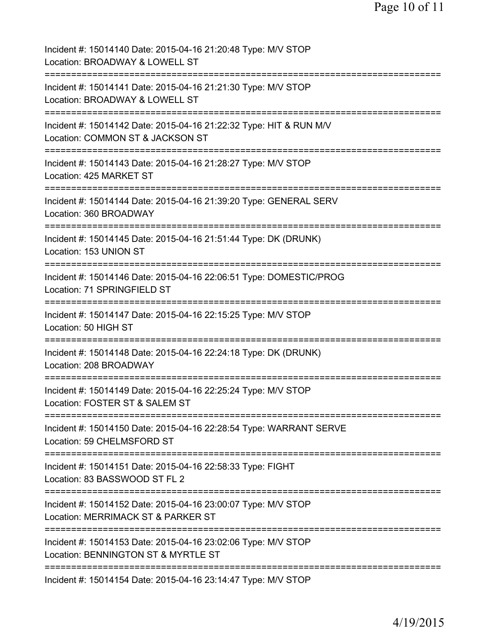| Incident #: 15014140 Date: 2015-04-16 21:20:48 Type: M/V STOP<br>Location: BROADWAY & LOWELL ST                                     |
|-------------------------------------------------------------------------------------------------------------------------------------|
| Incident #: 15014141 Date: 2015-04-16 21:21:30 Type: M/V STOP<br>Location: BROADWAY & LOWELL ST                                     |
| Incident #: 15014142 Date: 2015-04-16 21:22:32 Type: HIT & RUN M/V<br>Location: COMMON ST & JACKSON ST                              |
| Incident #: 15014143 Date: 2015-04-16 21:28:27 Type: M/V STOP<br>Location: 425 MARKET ST                                            |
| Incident #: 15014144 Date: 2015-04-16 21:39:20 Type: GENERAL SERV<br>Location: 360 BROADWAY                                         |
| Incident #: 15014145 Date: 2015-04-16 21:51:44 Type: DK (DRUNK)<br>Location: 153 UNION ST                                           |
| Incident #: 15014146 Date: 2015-04-16 22:06:51 Type: DOMESTIC/PROG<br>Location: 71 SPRINGFIELD ST                                   |
| Incident #: 15014147 Date: 2015-04-16 22:15:25 Type: M/V STOP<br>Location: 50 HIGH ST                                               |
| Incident #: 15014148 Date: 2015-04-16 22:24:18 Type: DK (DRUNK)<br>Location: 208 BROADWAY                                           |
| Incident #: 15014149 Date: 2015-04-16 22:25:24 Type: M/V STOP<br>Location: FOSTER ST & SALEM ST                                     |
| Incident #: 15014150 Date: 2015-04-16 22:28:54 Type: WARRANT SERVE<br>Location: 59 CHELMSFORD ST                                    |
| Incident #: 15014151 Date: 2015-04-16 22:58:33 Type: FIGHT<br>Location: 83 BASSWOOD ST FL 2                                         |
| Incident #: 15014152 Date: 2015-04-16 23:00:07 Type: M/V STOP<br>Location: MERRIMACK ST & PARKER ST                                 |
| :==========================<br>Incident #: 15014153 Date: 2015-04-16 23:02:06 Type: M/V STOP<br>Location: BENNINGTON ST & MYRTLE ST |
| Incident #: 15014154 Date: 2015-04-16 23:14:47 Type: M/V STOP                                                                       |